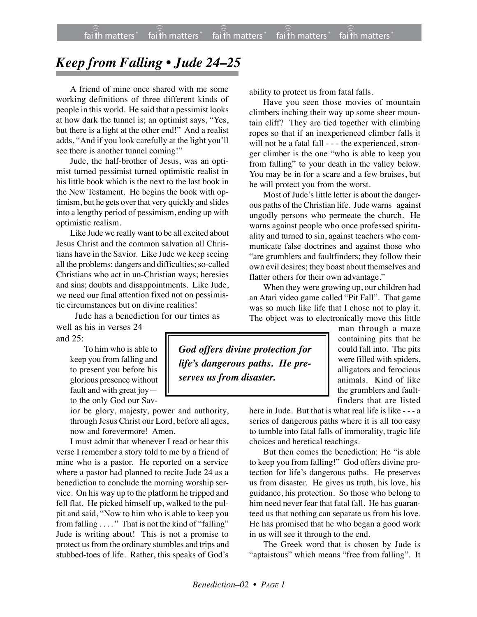## *Keep from Falling • Jude 24–25*

A friend of mine once shared with me some working definitions of three different kinds of people in this world. He said that a pessimist looks at how dark the tunnel is; an optimist says, "Yes, but there is a light at the other end!" And a realist adds, "And if you look carefully at the light you'll see there is another tunnel coming!"

Jude, the half-brother of Jesus, was an optimist turned pessimist turned optimistic realist in his little book which is the next to the last book in the New Testament. He begins the book with optimism, but he gets over that very quickly and slides into a lengthy period of pessimism, ending up with optimistic realism.

Like Jude we really want to be all excited about Jesus Christ and the common salvation all Christians have in the Savior. Like Jude we keep seeing all the problems: dangers and difficulties; so-called Christians who act in un-Christian ways; heresies and sins; doubts and disappointments. Like Jude, we need our final attention fixed not on pessimistic circumstances but on divine realities!

Jude has a benediction for our times as

well as his in verses 24 and 25:

> To him who is able to keep you from falling and to present you before his glorious presence without fault and with great joy to the only God our Sav-

ior be glory, majesty, power and authority, through Jesus Christ our Lord, before all ages, now and forevermore! Amen.

I must admit that whenever I read or hear this verse I remember a story told to me by a friend of mine who is a pastor. He reported on a service where a pastor had planned to recite Jude 24 as a benediction to conclude the morning worship service. On his way up to the platform he tripped and fell flat. He picked himself up, walked to the pulpit and said, "Now to him who is able to keep you from falling . . . . " That is not the kind of "falling" Jude is writing about! This is not a promise to protect us from the ordinary stumbles and trips and stubbed-toes of life. Rather, this speaks of God's

ability to protect us from fatal falls.

Have you seen those movies of mountain climbers inching their way up some sheer mountain cliff? They are tied together with climbing ropes so that if an inexperienced climber falls it will not be a fatal fall - - - the experienced, stronger climber is the one "who is able to keep you from falling" to your death in the valley below. You may be in for a scare and a few bruises, but he will protect you from the worst.

Most of Jude's little letter is about the dangerous paths of the Christian life. Jude warns against ungodly persons who permeate the church. He warns against people who once professed spirituality and turned to sin, against teachers who communicate false doctrines and against those who "are grumblers and faultfinders; they follow their own evil desires; they boast about themselves and flatter others for their own advantage."

When they were growing up, our children had an Atari video game called "Pit Fall". That game was so much like life that I chose not to play it. The object was to electronically move this little

> man through a maze containing pits that he could fall into. The pits were filled with spiders, alligators and ferocious animals. Kind of like the grumblers and faultfinders that are listed

here in Jude. But that is what real life is like - - - a series of dangerous paths where it is all too easy to tumble into fatal falls of immorality, tragic life choices and heretical teachings.

But then comes the benediction: He "is able to keep you from falling!" God offers divine protection for life's dangerous paths. He preserves us from disaster. He gives us truth, his love, his guidance, his protection. So those who belong to him need never fear that fatal fall. He has guaranteed us that nothing can separate us from his love. He has promised that he who began a good work in us will see it through to the end.

The Greek word that is chosen by Jude is "aptaistous" which means "free from falling". It

*God offers divine protection for life's dangerous paths. He preserves us from disaster.*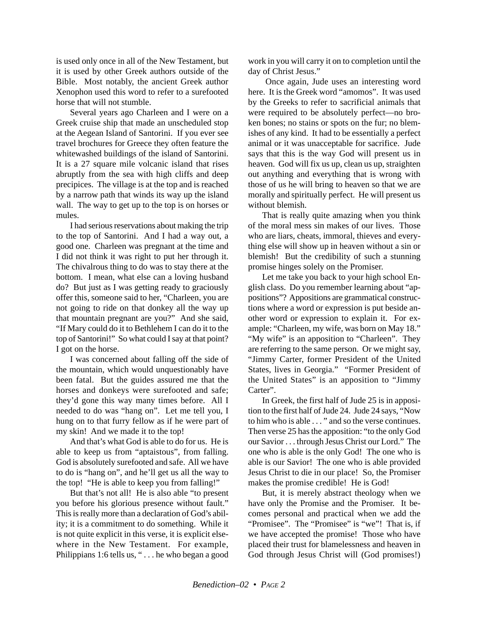is used only once in all of the New Testament, but it is used by other Greek authors outside of the Bible. Most notably, the ancient Greek author Xenophon used this word to refer to a surefooted horse that will not stumble.

Several years ago Charleen and I were on a Greek cruise ship that made an unscheduled stop at the Aegean Island of Santorini. If you ever see travel brochures for Greece they often feature the whitewashed buildings of the island of Santorini. It is a 27 square mile volcanic island that rises abruptly from the sea with high cliffs and deep precipices. The village is at the top and is reached by a narrow path that winds its way up the island wall. The way to get up to the top is on horses or mules.

I had serious reservations about making the trip to the top of Santorini. And I had a way out, a good one. Charleen was pregnant at the time and I did not think it was right to put her through it. The chivalrous thing to do was to stay there at the bottom. I mean, what else can a loving husband do? But just as I was getting ready to graciously offer this, someone said to her, "Charleen, you are not going to ride on that donkey all the way up that mountain pregnant are you?" And she said, "If Mary could do it to Bethlehem I can do it to the top of Santorini!" So what could I say at that point? I got on the horse.

I was concerned about falling off the side of the mountain, which would unquestionably have been fatal. But the guides assured me that the horses and donkeys were surefooted and safe; they'd gone this way many times before. All I needed to do was "hang on". Let me tell you, I hung on to that furry fellow as if he were part of my skin! And we made it to the top!

And that's what God is able to do for us. He is able to keep us from "aptaistous", from falling. God is absolutely surefooted and safe. All we have to do is "hang on", and he'll get us all the way to the top! "He is able to keep you from falling!"

But that's not all! He is also able "to present you before his glorious presence without fault." This is really more than a declaration of God's ability; it is a commitment to do something. While it is not quite explicit in this verse, it is explicit elsewhere in the New Testament. For example, Philippians 1:6 tells us, " . . . he who began a good work in you will carry it on to completion until the day of Christ Jesus."

 Once again, Jude uses an interesting word here. It is the Greek word "amomos". It was used by the Greeks to refer to sacrificial animals that were required to be absolutely perfect—no broken bones; no stains or spots on the fur; no blemishes of any kind. It had to be essentially a perfect animal or it was unacceptable for sacrifice. Jude says that this is the way God will present us in heaven. God will fix us up, clean us up, straighten out anything and everything that is wrong with those of us he will bring to heaven so that we are morally and spiritually perfect. He will present us without blemish.

That is really quite amazing when you think of the moral mess sin makes of our lives. Those who are liars, cheats, immoral, thieves and everything else will show up in heaven without a sin or blemish! But the credibility of such a stunning promise hinges solely on the Promiser.

Let me take you back to your high school English class. Do you remember learning about "appositions"? Appositions are grammatical constructions where a word or expression is put beside another word or expression to explain it. For example: "Charleen, my wife, was born on May 18." "My wife" is an apposition to "Charleen". They are referring to the same person. Or we might say, "Jimmy Carter, former President of the United States, lives in Georgia." "Former President of the United States" is an apposition to "Jimmy Carter".

In Greek, the first half of Jude 25 is in apposition to the first half of Jude 24. Jude 24 says, "Now to him who is able . . . " and so the verse continues. Then verse 25 has the apposition: "to the only God our Savior . . . through Jesus Christ our Lord." The one who is able is the only God! The one who is able is our Savior! The one who is able provided Jesus Christ to die in our place! So, the Promiser makes the promise credible! He is God!

But, it is merely abstract theology when we have only the Promise and the Promiser. It becomes personal and practical when we add the "Promisee". The "Promisee" is "we"! That is, if we have accepted the promise! Those who have placed their trust for blamelessness and heaven in God through Jesus Christ will (God promises!)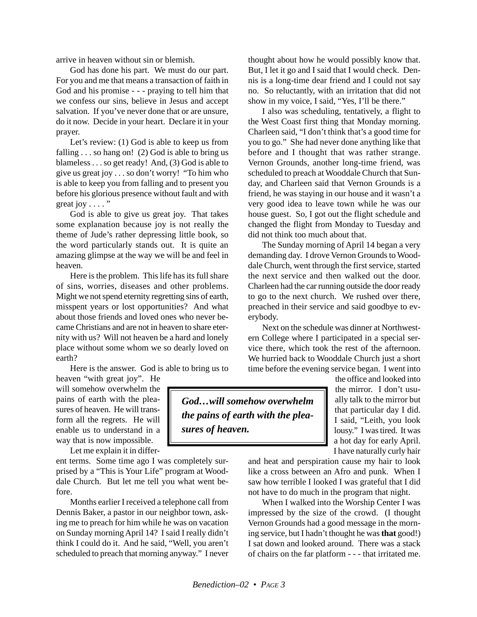arrive in heaven without sin or blemish.

God has done his part. We must do our part. For you and me that means a transaction of faith in God and his promise - - - praying to tell him that we confess our sins, believe in Jesus and accept salvation. If you've never done that or are unsure, do it now. Decide in your heart. Declare it in your prayer.

Let's review: (1) God is able to keep us from falling  $\ldots$  so hang on! (2) God is able to bring us blameless . . . so get ready! And, (3) God is able to give us great joy . . . so don't worry! "To him who is able to keep you from falling and to present you before his glorious presence without fault and with great joy  $\dots$ ."

God is able to give us great joy. That takes some explanation because joy is not really the theme of Jude's rather depressing little book, so the word particularly stands out. It is quite an amazing glimpse at the way we will be and feel in heaven.

Here is the problem. This life has its full share of sins, worries, diseases and other problems. Might we not spend eternity regretting sins of earth, misspent years or lost opportunities? And what about those friends and loved ones who never became Christians and are not in heaven to share eternity with us? Will not heaven be a hard and lonely place without some whom we so dearly loved on earth?

Here is the answer. God is able to bring us to

heaven "with great joy". He will somehow overwhelm the pains of earth with the pleasures of heaven. He will transform all the regrets. He will enable us to understand in a way that is now impossible.

Let me explain it in differ-

ent terms. Some time ago I was completely surprised by a "This is Your Life" program at Wooddale Church. But let me tell you what went before.

Months earlier I received a telephone call from Dennis Baker, a pastor in our neighbor town, asking me to preach for him while he was on vacation on Sunday morning April 14? I said I really didn't think I could do it. And he said, "Well, you aren't scheduled to preach that morning anyway." I never

thought about how he would possibly know that. But, I let it go and I said that I would check. Dennis is a long-time dear friend and I could not say no. So reluctantly, with an irritation that did not show in my voice, I said, "Yes, I'll be there."

I also was scheduling, tentatively, a flight to the West Coast first thing that Monday morning. Charleen said, "I don't think that's a good time for you to go." She had never done anything like that before and I thought that was rather strange. Vernon Grounds, another long-time friend, was scheduled to preach at Wooddale Church that Sunday, and Charleen said that Vernon Grounds is a friend, he was staying in our house and it wasn't a very good idea to leave town while he was our house guest. So, I got out the flight schedule and changed the flight from Monday to Tuesday and did not think too much about that.

The Sunday morning of April 14 began a very demanding day. I drove Vernon Grounds to Wooddale Church, went through the first service, started the next service and then walked out the door. Charleen had the car running outside the door ready to go to the next church. We rushed over there, preached in their service and said goodbye to everybody.

Next on the schedule was dinner at Northwestern College where I participated in a special service there, which took the rest of the afternoon. We hurried back to Wooddale Church just a short time before the evening service began. I went into

> the office and looked into the mirror. I don't usually talk to the mirror but that particular day I did. I said, "Leith, you look lousy." I was tired. It was a hot day for early April. I have naturally curly hair

and heat and perspiration cause my hair to look like a cross between an Afro and punk. When I saw how terrible I looked I was grateful that I did not have to do much in the program that night.

When I walked into the Worship Center I was impressed by the size of the crowd. (I thought Vernon Grounds had a good message in the morning service, but I hadn't thought he was **that** good!) I sat down and looked around. There was a stack of chairs on the far platform - - - that irritated me.

*God…will somehow overwhelm the pains of earth with the pleasures of heaven.*